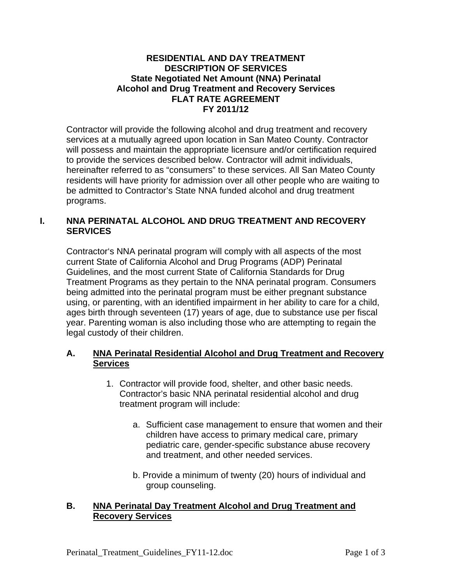#### **RESIDENTIAL AND DAY TREATMENT DESCRIPTION OF SERVICES State Negotiated Net Amount (NNA) Perinatal Alcohol and Drug Treatment and Recovery Services FLAT RATE AGREEMENT FY 2011/12**

Contractor will provide the following alcohol and drug treatment and recovery services at a mutually agreed upon location in San Mateo County. Contractor will possess and maintain the appropriate licensure and/or certification required to provide the services described below. Contractor will admit individuals, hereinafter referred to as "consumers" to these services. All San Mateo County residents will have priority for admission over all other people who are waiting to be admitted to Contractor's State NNA funded alcohol and drug treatment programs.

### **I. NNA PERINATAL ALCOHOL AND DRUG TREATMENT AND RECOVERY SERVICES**

Contractor's NNA perinatal program will comply with all aspects of the most current State of California Alcohol and Drug Programs (ADP) Perinatal Guidelines, and the most current State of California Standards for Drug Treatment Programs as they pertain to the NNA perinatal program. Consumers being admitted into the perinatal program must be either pregnant substance using, or parenting, with an identified impairment in her ability to care for a child, ages birth through seventeen (17) years of age, due to substance use per fiscal year. Parenting woman is also including those who are attempting to regain the legal custody of their children.

## **A. NNA Perinatal Residential Alcohol and Drug Treatment and Recovery Services**

- 1. Contractor will provide food, shelter, and other basic needs. Contractor's basic NNA perinatal residential alcohol and drug treatment program will include:
	- a. Sufficient case management to ensure that women and their children have access to primary medical care, primary pediatric care, gender-specific substance abuse recovery and treatment, and other needed services.
	- b. Provide a minimum of twenty (20) hours of individual and group counseling.

#### **B. NNA Perinatal Day Treatment Alcohol and Drug Treatment and Recovery Services**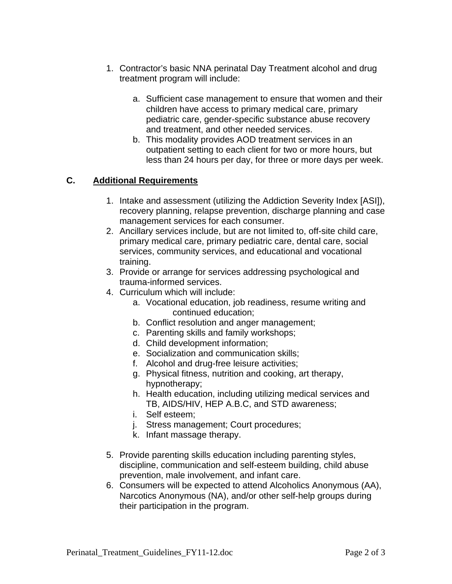- 1. Contractor's basic NNA perinatal Day Treatment alcohol and drug treatment program will include:
	- a. Sufficient case management to ensure that women and their children have access to primary medical care, primary pediatric care, gender-specific substance abuse recovery and treatment, and other needed services.
	- b. This modality provides AOD treatment services in an outpatient setting to each client for two or more hours, but less than 24 hours per day, for three or more days per week.

# **C. Additional Requirements**

- 1. Intake and assessment (utilizing the Addiction Severity Index [ASI]), recovery planning, relapse prevention, discharge planning and case management services for each consumer.
- 2. Ancillary services include, but are not limited to, off-site child care, primary medical care, primary pediatric care, dental care, social services, community services, and educational and vocational training.
- 3. Provide or arrange for services addressing psychological and trauma-informed services.
- 4. Curriculum which will include:
	- a. Vocational education, job readiness, resume writing and continued education;
	- b. Conflict resolution and anger management;
	- c. Parenting skills and family workshops;
	- d. Child development information;
	- e. Socialization and communication skills;
	- f. Alcohol and drug-free leisure activities;
	- g. Physical fitness, nutrition and cooking, art therapy, hypnotherapy;
	- h. Health education, including utilizing medical services and TB, AIDS/HIV, HEP A.B.C, and STD awareness;
	- i. Self esteem;
	- j. Stress management; Court procedures;
	- k. Infant massage therapy.
- 5. Provide parenting skills education including parenting styles, discipline, communication and self-esteem building, child abuse prevention, male involvement, and infant care.
- 6. Consumers will be expected to attend Alcoholics Anonymous (AA), Narcotics Anonymous (NA), and/or other self-help groups during their participation in the program.